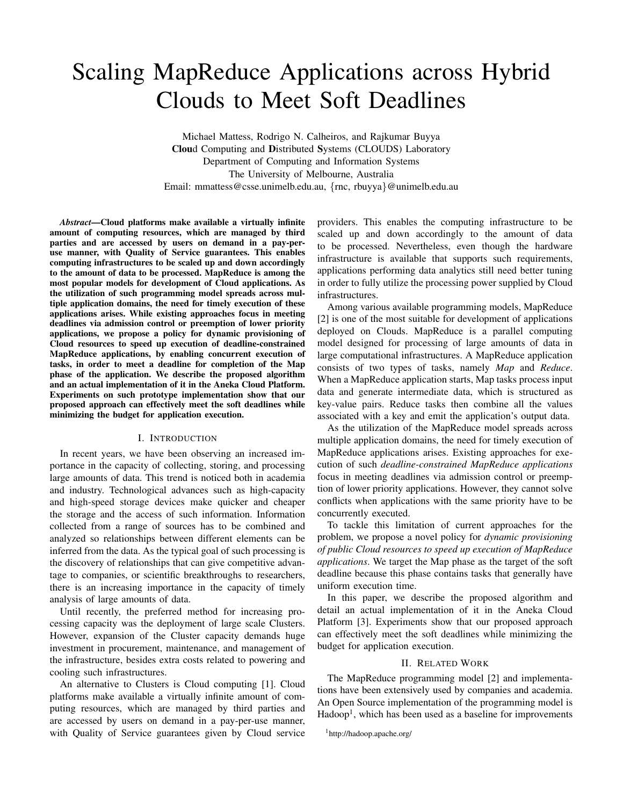# Scaling MapReduce Applications across Hybrid Clouds to Meet Soft Deadlines

Michael Mattess, Rodrigo N. Calheiros, and Rajkumar Buyya Cloud Computing and Distributed Systems (CLOUDS) Laboratory Department of Computing and Information Systems The University of Melbourne, Australia Email: mmattess@csse.unimelb.edu.au, {rnc, rbuyya}@unimelb.edu.au

*Abstract*—Cloud platforms make available a virtually infinite amount of computing resources, which are managed by third parties and are accessed by users on demand in a pay-peruse manner, with Quality of Service guarantees. This enables computing infrastructures to be scaled up and down accordingly to the amount of data to be processed. MapReduce is among the most popular models for development of Cloud applications. As the utilization of such programming model spreads across multiple application domains, the need for timely execution of these applications arises. While existing approaches focus in meeting deadlines via admission control or preemption of lower priority applications, we propose a policy for dynamic provisioning of Cloud resources to speed up execution of deadline-constrained MapReduce applications, by enabling concurrent execution of tasks, in order to meet a deadline for completion of the Map phase of the application. We describe the proposed algorithm and an actual implementation of it in the Aneka Cloud Platform. Experiments on such prototype implementation show that our proposed approach can effectively meet the soft deadlines while minimizing the budget for application execution.

# I. INTRODUCTION

In recent years, we have been observing an increased importance in the capacity of collecting, storing, and processing large amounts of data. This trend is noticed both in academia and industry. Technological advances such as high-capacity and high-speed storage devices make quicker and cheaper the storage and the access of such information. Information collected from a range of sources has to be combined and analyzed so relationships between different elements can be inferred from the data. As the typical goal of such processing is the discovery of relationships that can give competitive advantage to companies, or scientific breakthroughs to researchers, there is an increasing importance in the capacity of timely analysis of large amounts of data.

Until recently, the preferred method for increasing processing capacity was the deployment of large scale Clusters. However, expansion of the Cluster capacity demands huge investment in procurement, maintenance, and management of the infrastructure, besides extra costs related to powering and cooling such infrastructures.

An alternative to Clusters is Cloud computing [1]. Cloud platforms make available a virtually infinite amount of computing resources, which are managed by third parties and are accessed by users on demand in a pay-per-use manner, with Quality of Service guarantees given by Cloud service providers. This enables the computing infrastructure to be scaled up and down accordingly to the amount of data to be processed. Nevertheless, even though the hardware infrastructure is available that supports such requirements, applications performing data analytics still need better tuning in order to fully utilize the processing power supplied by Cloud infrastructures.

Among various available programming models, MapReduce [2] is one of the most suitable for development of applications deployed on Clouds. MapReduce is a parallel computing model designed for processing of large amounts of data in large computational infrastructures. A MapReduce application consists of two types of tasks, namely *Map* and *Reduce*. When a MapReduce application starts, Map tasks process input data and generate intermediate data, which is structured as key-value pairs. Reduce tasks then combine all the values associated with a key and emit the application's output data.

As the utilization of the MapReduce model spreads across multiple application domains, the need for timely execution of MapReduce applications arises. Existing approaches for execution of such *deadline-constrained MapReduce applications* focus in meeting deadlines via admission control or preemption of lower priority applications. However, they cannot solve conflicts when applications with the same priority have to be concurrently executed.

To tackle this limitation of current approaches for the problem, we propose a novel policy for *dynamic provisioning of public Cloud resources to speed up execution of MapReduce applications*. We target the Map phase as the target of the soft deadline because this phase contains tasks that generally have uniform execution time.

In this paper, we describe the proposed algorithm and detail an actual implementation of it in the Aneka Cloud Platform [3]. Experiments show that our proposed approach can effectively meet the soft deadlines while minimizing the budget for application execution.

#### II. RELATED WORK

The MapReduce programming model [2] and implementations have been extensively used by companies and academia. An Open Source implementation of the programming model is Hadoop<sup>1</sup>, which has been used as a baseline for improvements

<sup>1</sup>http://hadoop.apache.org/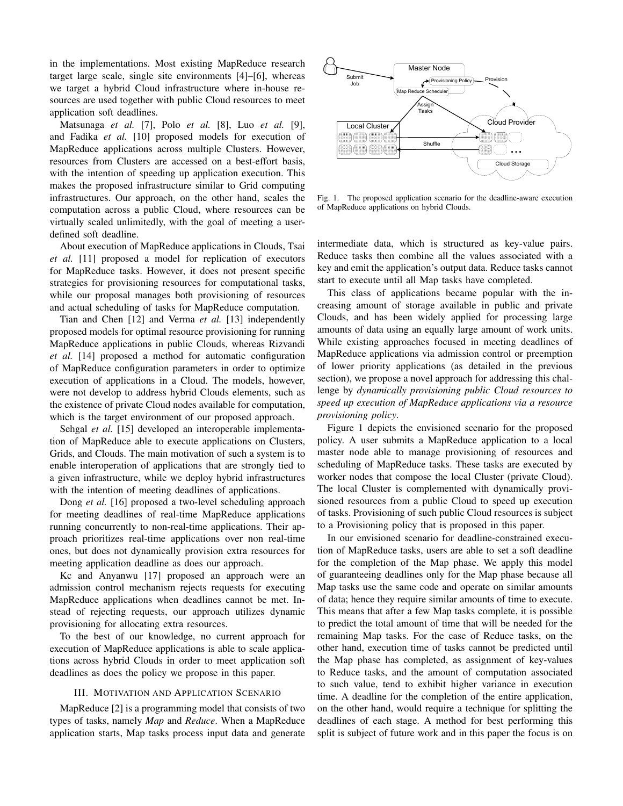in the implementations. Most existing MapReduce research target large scale, single site environments [4]–[6], whereas we target a hybrid Cloud infrastructure where in-house resources are used together with public Cloud resources to meet application soft deadlines.

Matsunaga *et al.* [7], Polo *et al.* [8], Luo *et al.* [9], and Fadika *et al.* [10] proposed models for execution of MapReduce applications across multiple Clusters. However, resources from Clusters are accessed on a best-effort basis, with the intention of speeding up application execution. This makes the proposed infrastructure similar to Grid computing infrastructures. Our approach, on the other hand, scales the computation across a public Cloud, where resources can be virtually scaled unlimitedly, with the goal of meeting a userdefined soft deadline.

About execution of MapReduce applications in Clouds, Tsai *et al.* [11] proposed a model for replication of executors for MapReduce tasks. However, it does not present specific strategies for provisioning resources for computational tasks, while our proposal manages both provisioning of resources and actual scheduling of tasks for MapReduce computation.

Tian and Chen [12] and Verma *et al.* [13] independently proposed models for optimal resource provisioning for running MapReduce applications in public Clouds, whereas Rizvandi *et al.* [14] proposed a method for automatic configuration of MapReduce configuration parameters in order to optimize execution of applications in a Cloud. The models, however, were not develop to address hybrid Clouds elements, such as the existence of private Cloud nodes available for computation, which is the target environment of our proposed approach.

Sehgal *et al.* [15] developed an interoperable implementation of MapReduce able to execute applications on Clusters, Grids, and Clouds. The main motivation of such a system is to enable interoperation of applications that are strongly tied to a given infrastructure, while we deploy hybrid infrastructures with the intention of meeting deadlines of applications.

Dong *et al.* [16] proposed a two-level scheduling approach for meeting deadlines of real-time MapReduce applications running concurrently to non-real-time applications. Their approach prioritizes real-time applications over non real-time ones, but does not dynamically provision extra resources for meeting application deadline as does our approach.

Kc and Anyanwu [17] proposed an approach were an admission control mechanism rejects requests for executing MapReduce applications when deadlines cannot be met. Instead of rejecting requests, our approach utilizes dynamic provisioning for allocating extra resources.

To the best of our knowledge, no current approach for execution of MapReduce applications is able to scale applications across hybrid Clouds in order to meet application soft deadlines as does the policy we propose in this paper.

## III. MOTIVATION AND APPLICATION SCENARIO

MapReduce [2] is a programming model that consists of two types of tasks, namely *Map* and *Reduce*. When a MapReduce application starts, Map tasks process input data and generate



Fig. 1. The proposed application scenario for the deadline-aware execution of MapReduce applications on hybrid Clouds.

intermediate data, which is structured as key-value pairs. Reduce tasks then combine all the values associated with a key and emit the application's output data. Reduce tasks cannot start to execute until all Map tasks have completed.

This class of applications became popular with the increasing amount of storage available in public and private Clouds, and has been widely applied for processing large amounts of data using an equally large amount of work units. While existing approaches focused in meeting deadlines of MapReduce applications via admission control or preemption of lower priority applications (as detailed in the previous section), we propose a novel approach for addressing this challenge by *dynamically provisioning public Cloud resources to speed up execution of MapReduce applications via a resource provisioning policy*.

Figure 1 depicts the envisioned scenario for the proposed policy. A user submits a MapReduce application to a local master node able to manage provisioning of resources and scheduling of MapReduce tasks. These tasks are executed by worker nodes that compose the local Cluster (private Cloud). The local Cluster is complemented with dynamically provisioned resources from a public Cloud to speed up execution of tasks. Provisioning of such public Cloud resources is subject to a Provisioning policy that is proposed in this paper.

In our envisioned scenario for deadline-constrained execution of MapReduce tasks, users are able to set a soft deadline for the completion of the Map phase. We apply this model of guaranteeing deadlines only for the Map phase because all Map tasks use the same code and operate on similar amounts of data; hence they require similar amounts of time to execute. This means that after a few Map tasks complete, it is possible to predict the total amount of time that will be needed for the remaining Map tasks. For the case of Reduce tasks, on the other hand, execution time of tasks cannot be predicted until the Map phase has completed, as assignment of key-values to Reduce tasks, and the amount of computation associated to such value, tend to exhibit higher variance in execution time. A deadline for the completion of the entire application, on the other hand, would require a technique for splitting the deadlines of each stage. A method for best performing this split is subject of future work and in this paper the focus is on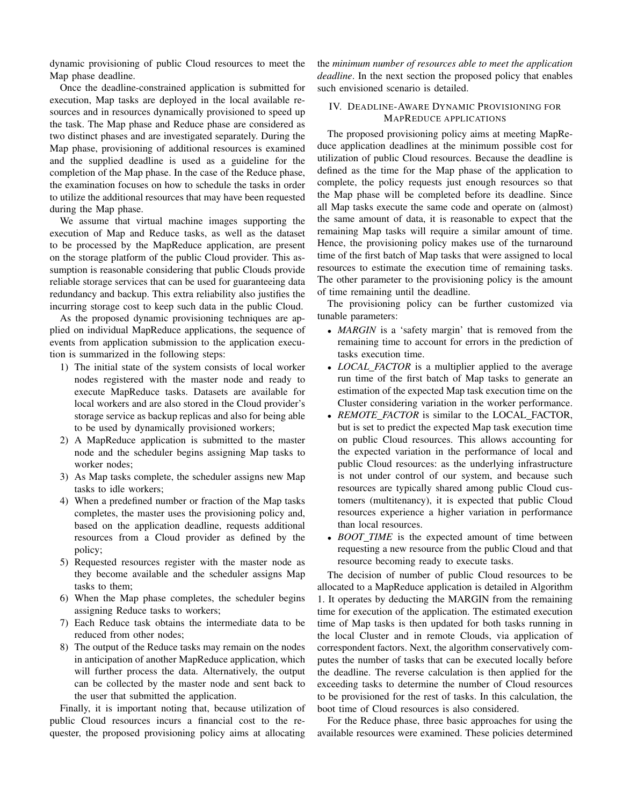dynamic provisioning of public Cloud resources to meet the Map phase deadline.

Once the deadline-constrained application is submitted for execution, Map tasks are deployed in the local available resources and in resources dynamically provisioned to speed up the task. The Map phase and Reduce phase are considered as two distinct phases and are investigated separately. During the Map phase, provisioning of additional resources is examined and the supplied deadline is used as a guideline for the completion of the Map phase. In the case of the Reduce phase, the examination focuses on how to schedule the tasks in order to utilize the additional resources that may have been requested during the Map phase.

We assume that virtual machine images supporting the execution of Map and Reduce tasks, as well as the dataset to be processed by the MapReduce application, are present on the storage platform of the public Cloud provider. This assumption is reasonable considering that public Clouds provide reliable storage services that can be used for guaranteeing data redundancy and backup. This extra reliability also justifies the incurring storage cost to keep such data in the public Cloud.

As the proposed dynamic provisioning techniques are applied on individual MapReduce applications, the sequence of events from application submission to the application execution is summarized in the following steps:

- 1) The initial state of the system consists of local worker nodes registered with the master node and ready to execute MapReduce tasks. Datasets are available for local workers and are also stored in the Cloud provider's storage service as backup replicas and also for being able to be used by dynamically provisioned workers;
- 2) A MapReduce application is submitted to the master node and the scheduler begins assigning Map tasks to worker nodes;
- 3) As Map tasks complete, the scheduler assigns new Map tasks to idle workers;
- 4) When a predefined number or fraction of the Map tasks completes, the master uses the provisioning policy and, based on the application deadline, requests additional resources from a Cloud provider as defined by the policy;
- 5) Requested resources register with the master node as they become available and the scheduler assigns Map tasks to them;
- 6) When the Map phase completes, the scheduler begins assigning Reduce tasks to workers;
- 7) Each Reduce task obtains the intermediate data to be reduced from other nodes;
- 8) The output of the Reduce tasks may remain on the nodes in anticipation of another MapReduce application, which will further process the data. Alternatively, the output can be collected by the master node and sent back to the user that submitted the application.

Finally, it is important noting that, because utilization of public Cloud resources incurs a financial cost to the requester, the proposed provisioning policy aims at allocating the *minimum number of resources able to meet the application deadline*. In the next section the proposed policy that enables such envisioned scenario is detailed.

# IV. DEADLINE-AWARE DYNAMIC PROVISIONING FOR MAPREDUCE APPLICATIONS

The proposed provisioning policy aims at meeting MapReduce application deadlines at the minimum possible cost for utilization of public Cloud resources. Because the deadline is defined as the time for the Map phase of the application to complete, the policy requests just enough resources so that the Map phase will be completed before its deadline. Since all Map tasks execute the same code and operate on (almost) the same amount of data, it is reasonable to expect that the remaining Map tasks will require a similar amount of time. Hence, the provisioning policy makes use of the turnaround time of the first batch of Map tasks that were assigned to local resources to estimate the execution time of remaining tasks. The other parameter to the provisioning policy is the amount of time remaining until the deadline.

The provisioning policy can be further customized via tunable parameters:

- *MARGIN* is a 'safety margin' that is removed from the remaining time to account for errors in the prediction of tasks execution time.
- *LOCAL\_FACTOR* is a multiplier applied to the average run time of the first batch of Map tasks to generate an estimation of the expected Map task execution time on the Cluster considering variation in the worker performance.
- *REMOTE\_FACTOR* is similar to the LOCAL\_FACTOR, but is set to predict the expected Map task execution time on public Cloud resources. This allows accounting for the expected variation in the performance of local and public Cloud resources: as the underlying infrastructure is not under control of our system, and because such resources are typically shared among public Cloud customers (multitenancy), it is expected that public Cloud resources experience a higher variation in performance than local resources.
- *BOOT\_TIME* is the expected amount of time between requesting a new resource from the public Cloud and that resource becoming ready to execute tasks.

The decision of number of public Cloud resources to be allocated to a MapReduce application is detailed in Algorithm 1. It operates by deducting the MARGIN from the remaining time for execution of the application. The estimated execution time of Map tasks is then updated for both tasks running in the local Cluster and in remote Clouds, via application of correspondent factors. Next, the algorithm conservatively computes the number of tasks that can be executed locally before the deadline. The reverse calculation is then applied for the exceeding tasks to determine the number of Cloud resources to be provisioned for the rest of tasks. In this calculation, the boot time of Cloud resources is also considered.

For the Reduce phase, three basic approaches for using the available resources were examined. These policies determined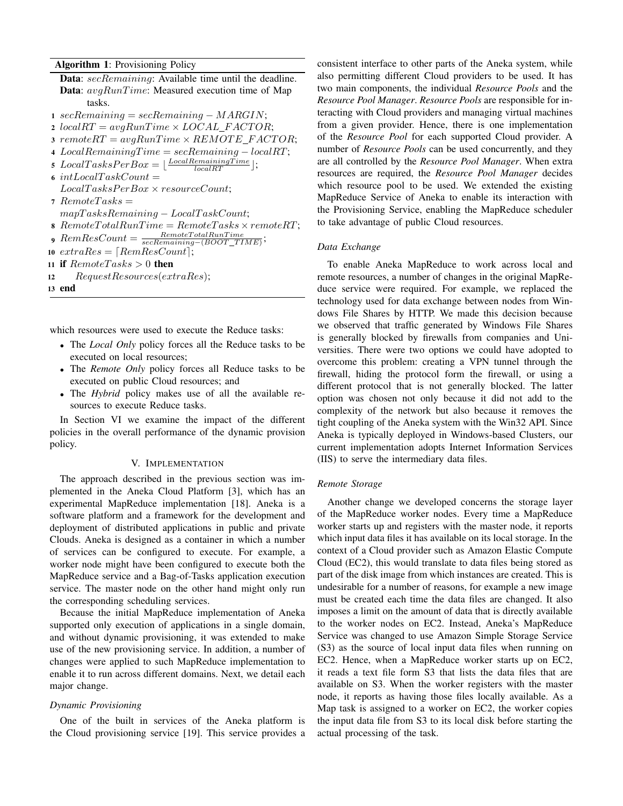```
Algorithm 1: Provisioning Policy
```

| <b>Data:</b> secRemaining: Available time until the deadline. |  |
|---------------------------------------------------------------|--|
| <b>Data:</b> $avgRunTime$ : Measured execution time of Map    |  |
| tasks.                                                        |  |

- 1 secRemaining = secRemaining MARGIN;
- 2  $local RT = avgRunTime \times LOCAL\_FACTOR;$
- 3 remoteRT =  $avgRunTime \times REMOTE$  FACTOR;
- 4  $LocalRemaining Time = secRemaining local RT;$
- 5  $LocalTasksPerBox = \lfloor \frac{LocalRemainingTime}{localRT} \rfloor;$
- $6$  intLocalTaskCount =  $LocalTasksPerBox \times resourceCount;$ 7 RemoteTasks  $=$
- $mapTasksRemaining Local TaskCount;$
- 8  $RemoteTotalRunTime = RemoteTasks \times remoteRT;$

$$
Phi ResCount = \frac{RemoteTotalRunTime}{secRemaining - (BOOT\_TIME)};
$$

- 10  $extraRes = [RemResCount];$
- 11 if  $Remote Tasks > 0$  then
- <sup>12</sup> RequestResources(extraRes);

<sup>13</sup> end

which resources were used to execute the Reduce tasks:

- The *Local Only* policy forces all the Reduce tasks to be executed on local resources;
- The *Remote Only* policy forces all Reduce tasks to be executed on public Cloud resources; and
- The *Hybrid* policy makes use of all the available resources to execute Reduce tasks.

In Section VI we examine the impact of the different policies in the overall performance of the dynamic provision policy.

#### V. IMPLEMENTATION

The approach described in the previous section was implemented in the Aneka Cloud Platform [3], which has an experimental MapReduce implementation [18]. Aneka is a software platform and a framework for the development and deployment of distributed applications in public and private Clouds. Aneka is designed as a container in which a number of services can be configured to execute. For example, a worker node might have been configured to execute both the MapReduce service and a Bag-of-Tasks application execution service. The master node on the other hand might only run the corresponding scheduling services.

Because the initial MapReduce implementation of Aneka supported only execution of applications in a single domain, and without dynamic provisioning, it was extended to make use of the new provisioning service. In addition, a number of changes were applied to such MapReduce implementation to enable it to run across different domains. Next, we detail each major change.

# *Dynamic Provisioning*

One of the built in services of the Aneka platform is the Cloud provisioning service [19]. This service provides a consistent interface to other parts of the Aneka system, while also permitting different Cloud providers to be used. It has two main components, the individual *Resource Pools* and the *Resource Pool Manager*. *Resource Pools* are responsible for interacting with Cloud providers and managing virtual machines from a given provider. Hence, there is one implementation of the *Resource Pool* for each supported Cloud provider. A number of *Resource Pools* can be used concurrently, and they are all controlled by the *Resource Pool Manager*. When extra resources are required, the *Resource Pool Manager* decides which resource pool to be used. We extended the existing MapReduce Service of Aneka to enable its interaction with the Provisioning Service, enabling the MapReduce scheduler to take advantage of public Cloud resources.

## *Data Exchange*

To enable Aneka MapReduce to work across local and remote resources, a number of changes in the original MapReduce service were required. For example, we replaced the technology used for data exchange between nodes from Windows File Shares by HTTP. We made this decision because we observed that traffic generated by Windows File Shares is generally blocked by firewalls from companies and Universities. There were two options we could have adopted to overcome this problem: creating a VPN tunnel through the firewall, hiding the protocol form the firewall, or using a different protocol that is not generally blocked. The latter option was chosen not only because it did not add to the complexity of the network but also because it removes the tight coupling of the Aneka system with the Win32 API. Since Aneka is typically deployed in Windows-based Clusters, our current implementation adopts Internet Information Services (IIS) to serve the intermediary data files.

#### *Remote Storage*

Another change we developed concerns the storage layer of the MapReduce worker nodes. Every time a MapReduce worker starts up and registers with the master node, it reports which input data files it has available on its local storage. In the context of a Cloud provider such as Amazon Elastic Compute Cloud (EC2), this would translate to data files being stored as part of the disk image from which instances are created. This is undesirable for a number of reasons, for example a new image must be created each time the data files are changed. It also imposes a limit on the amount of data that is directly available to the worker nodes on EC2. Instead, Aneka's MapReduce Service was changed to use Amazon Simple Storage Service (S3) as the source of local input data files when running on EC2. Hence, when a MapReduce worker starts up on EC2, it reads a text file form S3 that lists the data files that are available on S3. When the worker registers with the master node, it reports as having those files locally available. As a Map task is assigned to a worker on EC2, the worker copies the input data file from S3 to its local disk before starting the actual processing of the task.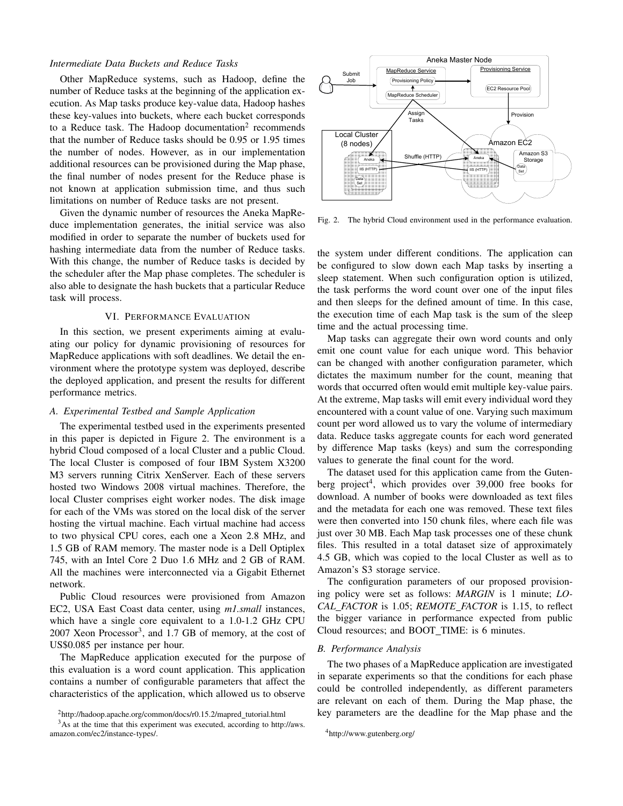#### *Intermediate Data Buckets and Reduce Tasks*

Other MapReduce systems, such as Hadoop, define the number of Reduce tasks at the beginning of the application execution. As Map tasks produce key-value data, Hadoop hashes these key-values into buckets, where each bucket corresponds to a Reduce task. The Hadoop documentation<sup>2</sup> recommends that the number of Reduce tasks should be 0.95 or 1.95 times the number of nodes. However, as in our implementation additional resources can be provisioned during the Map phase, the final number of nodes present for the Reduce phase is not known at application submission time, and thus such limitations on number of Reduce tasks are not present.

Given the dynamic number of resources the Aneka MapReduce implementation generates, the initial service was also modified in order to separate the number of buckets used for hashing intermediate data from the number of Reduce tasks. With this change, the number of Reduce tasks is decided by the scheduler after the Map phase completes. The scheduler is also able to designate the hash buckets that a particular Reduce task will process.

#### VI. PERFORMANCE EVALUATION

In this section, we present experiments aiming at evaluating our policy for dynamic provisioning of resources for MapReduce applications with soft deadlines. We detail the environment where the prototype system was deployed, describe the deployed application, and present the results for different performance metrics.

#### *A. Experimental Testbed and Sample Application*

The experimental testbed used in the experiments presented in this paper is depicted in Figure 2. The environment is a hybrid Cloud composed of a local Cluster and a public Cloud. The local Cluster is composed of four IBM System X3200 M3 servers running Citrix XenServer. Each of these servers hosted two Windows 2008 virtual machines. Therefore, the local Cluster comprises eight worker nodes. The disk image for each of the VMs was stored on the local disk of the server hosting the virtual machine. Each virtual machine had access to two physical CPU cores, each one a Xeon 2.8 MHz, and 1.5 GB of RAM memory. The master node is a Dell Optiplex 745, with an Intel Core 2 Duo 1.6 MHz and 2 GB of RAM. All the machines were interconnected via a Gigabit Ethernet network.

Public Cloud resources were provisioned from Amazon EC2, USA East Coast data center, using *m1.small* instances, which have a single core equivalent to a 1.0-1.2 GHz CPU 2007 Xeon Processor<sup>3</sup>, and 1.7 GB of memory, at the cost of US\$0.085 per instance per hour.

The MapReduce application executed for the purpose of this evaluation is a word count application. This application contains a number of configurable parameters that affect the characteristics of the application, which allowed us to observe



Fig. 2. The hybrid Cloud environment used in the performance evaluation.

the system under different conditions. The application can be configured to slow down each Map tasks by inserting a sleep statement. When such configuration option is utilized, the task performs the word count over one of the input files and then sleeps for the defined amount of time. In this case, the execution time of each Map task is the sum of the sleep time and the actual processing time.

Map tasks can aggregate their own word counts and only emit one count value for each unique word. This behavior can be changed with another configuration parameter, which dictates the maximum number for the count, meaning that words that occurred often would emit multiple key-value pairs. At the extreme, Map tasks will emit every individual word they encountered with a count value of one. Varying such maximum count per word allowed us to vary the volume of intermediary data. Reduce tasks aggregate counts for each word generated by difference Map tasks (keys) and sum the corresponding values to generate the final count for the word.

The dataset used for this application came from the Gutenberg project<sup>4</sup>, which provides over 39,000 free books for download. A number of books were downloaded as text files and the metadata for each one was removed. These text files were then converted into 150 chunk files, where each file was just over 30 MB. Each Map task processes one of these chunk files. This resulted in a total dataset size of approximately 4.5 GB, which was copied to the local Cluster as well as to Amazon's S3 storage service.

The configuration parameters of our proposed provisioning policy were set as follows: *MARGIN* is 1 minute; *LO-CAL FACTOR* is 1.05; *REMOTE FACTOR* is 1.15, to reflect the bigger variance in performance expected from public Cloud resources; and BOOT TIME: is 6 minutes.

#### *B. Performance Analysis*

The two phases of a MapReduce application are investigated in separate experiments so that the conditions for each phase could be controlled independently, as different parameters are relevant on each of them. During the Map phase, the key parameters are the deadline for the Map phase and the

 ${}^{2}$ http://hadoop.apache.org/common/docs/r0.15.2/mapred\_tutorial.html

<sup>3</sup>As at the time that this experiment was executed, according to http://aws. amazon.com/ec2/instance-types/.

<sup>4</sup>http://www.gutenberg.org/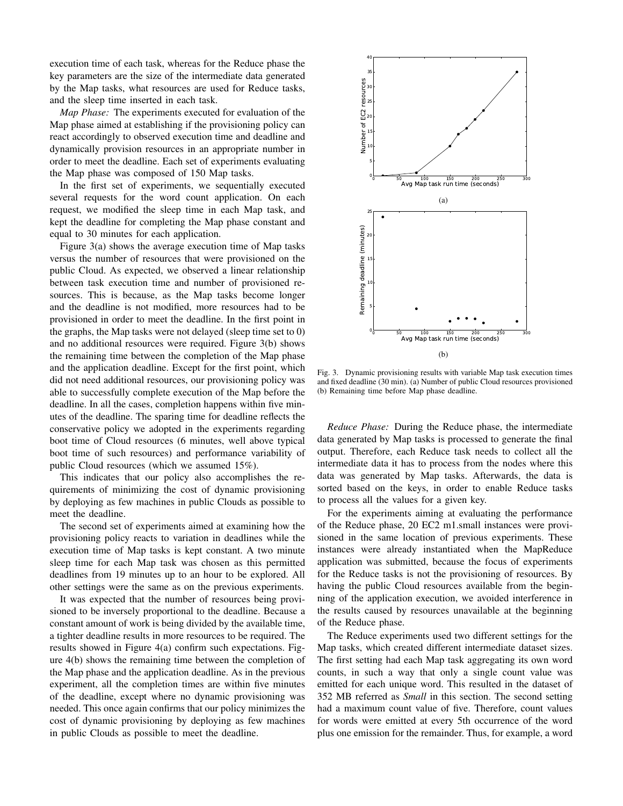execution time of each task, whereas for the Reduce phase the key parameters are the size of the intermediate data generated by the Map tasks, what resources are used for Reduce tasks, and the sleep time inserted in each task.

*Map Phase:* The experiments executed for evaluation of the Map phase aimed at establishing if the provisioning policy can react accordingly to observed execution time and deadline and dynamically provision resources in an appropriate number in order to meet the deadline. Each set of experiments evaluating the Map phase was composed of 150 Map tasks.

In the first set of experiments, we sequentially executed several requests for the word count application. On each request, we modified the sleep time in each Map task, and kept the deadline for completing the Map phase constant and equal to 30 minutes for each application.

Figure 3(a) shows the average execution time of Map tasks versus the number of resources that were provisioned on the public Cloud. As expected, we observed a linear relationship between task execution time and number of provisioned resources. This is because, as the Map tasks become longer and the deadline is not modified, more resources had to be provisioned in order to meet the deadline. In the first point in the graphs, the Map tasks were not delayed (sleep time set to 0) and no additional resources were required. Figure 3(b) shows the remaining time between the completion of the Map phase and the application deadline. Except for the first point, which did not need additional resources, our provisioning policy was able to successfully complete execution of the Map before the deadline. In all the cases, completion happens within five minutes of the deadline. The sparing time for deadline reflects the conservative policy we adopted in the experiments regarding boot time of Cloud resources (6 minutes, well above typical boot time of such resources) and performance variability of public Cloud resources (which we assumed 15%).

This indicates that our policy also accomplishes the requirements of minimizing the cost of dynamic provisioning by deploying as few machines in public Clouds as possible to meet the deadline.

The second set of experiments aimed at examining how the provisioning policy reacts to variation in deadlines while the execution time of Map tasks is kept constant. A two minute sleep time for each Map task was chosen as this permitted deadlines from 19 minutes up to an hour to be explored. All other settings were the same as on the previous experiments.

It was expected that the number of resources being provisioned to be inversely proportional to the deadline. Because a constant amount of work is being divided by the available time, a tighter deadline results in more resources to be required. The results showed in Figure 4(a) confirm such expectations. Figure 4(b) shows the remaining time between the completion of the Map phase and the application deadline. As in the previous experiment, all the completion times are within five minutes of the deadline, except where no dynamic provisioning was needed. This once again confirms that our policy minimizes the cost of dynamic provisioning by deploying as few machines in public Clouds as possible to meet the deadline.



Fig. 3. Dynamic provisioning results with variable Map task execution times and fixed deadline (30 min). (a) Number of public Cloud resources provisioned (b) Remaining time before Map phase deadline.

*Reduce Phase:* During the Reduce phase, the intermediate data generated by Map tasks is processed to generate the final output. Therefore, each Reduce task needs to collect all the intermediate data it has to process from the nodes where this data was generated by Map tasks. Afterwards, the data is sorted based on the keys, in order to enable Reduce tasks to process all the values for a given key.

For the experiments aiming at evaluating the performance of the Reduce phase, 20 EC2 m1.small instances were provisioned in the same location of previous experiments. These instances were already instantiated when the MapReduce application was submitted, because the focus of experiments for the Reduce tasks is not the provisioning of resources. By having the public Cloud resources available from the beginning of the application execution, we avoided interference in the results caused by resources unavailable at the beginning of the Reduce phase.

The Reduce experiments used two different settings for the Map tasks, which created different intermediate dataset sizes. The first setting had each Map task aggregating its own word counts, in such a way that only a single count value was emitted for each unique word. This resulted in the dataset of 352 MB referred as *Small* in this section. The second setting had a maximum count value of five. Therefore, count values for words were emitted at every 5th occurrence of the word plus one emission for the remainder. Thus, for example, a word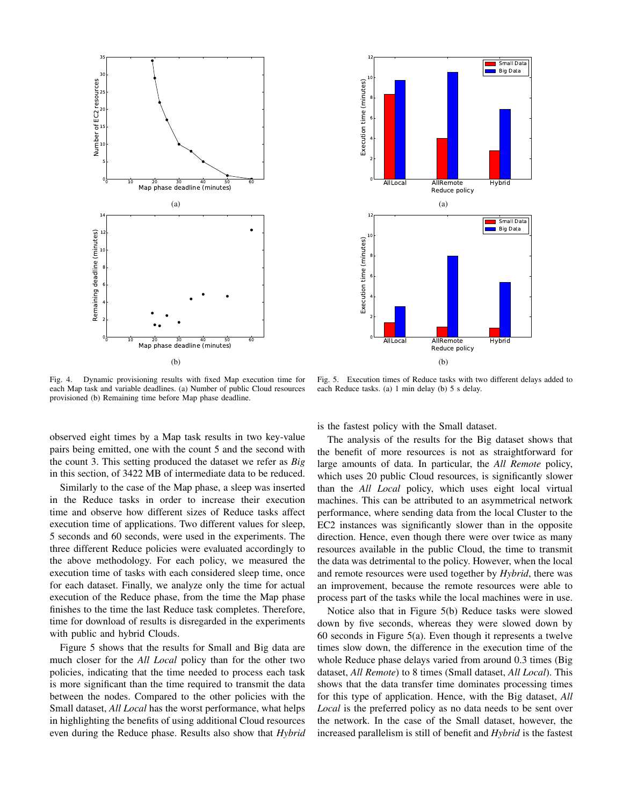



Fig. 4. Dynamic provisioning results with fixed Map execution time for each Map task and variable deadlines. (a) Number of public Cloud resources provisioned (b) Remaining time before Map phase deadline.

Fig. 5. Execution times of Reduce tasks with two different delays added to each Reduce tasks. (a) 1 min delay (b) 5 s delay.

observed eight times by a Map task results in two key-value pairs being emitted, one with the count 5 and the second with the count 3. This setting produced the dataset we refer as *Big* in this section, of 3422 MB of intermediate data to be reduced.

Similarly to the case of the Map phase, a sleep was inserted in the Reduce tasks in order to increase their execution time and observe how different sizes of Reduce tasks affect execution time of applications. Two different values for sleep, 5 seconds and 60 seconds, were used in the experiments. The three different Reduce policies were evaluated accordingly to the above methodology. For each policy, we measured the execution time of tasks with each considered sleep time, once for each dataset. Finally, we analyze only the time for actual execution of the Reduce phase, from the time the Map phase finishes to the time the last Reduce task completes. Therefore, time for download of results is disregarded in the experiments with public and hybrid Clouds.

Figure 5 shows that the results for Small and Big data are much closer for the *All Local* policy than for the other two policies, indicating that the time needed to process each task is more significant than the time required to transmit the data between the nodes. Compared to the other policies with the Small dataset, *All Local* has the worst performance, what helps in highlighting the benefits of using additional Cloud resources even during the Reduce phase. Results also show that *Hybrid* is the fastest policy with the Small dataset.

The analysis of the results for the Big dataset shows that the benefit of more resources is not as straightforward for large amounts of data. In particular, the *All Remote* policy, which uses 20 public Cloud resources, is significantly slower than the *All Local* policy, which uses eight local virtual machines. This can be attributed to an asymmetrical network performance, where sending data from the local Cluster to the EC2 instances was significantly slower than in the opposite direction. Hence, even though there were over twice as many resources available in the public Cloud, the time to transmit the data was detrimental to the policy. However, when the local and remote resources were used together by *Hybrid*, there was an improvement, because the remote resources were able to process part of the tasks while the local machines were in use.

Notice also that in Figure 5(b) Reduce tasks were slowed down by five seconds, whereas they were slowed down by 60 seconds in Figure 5(a). Even though it represents a twelve times slow down, the difference in the execution time of the whole Reduce phase delays varied from around 0.3 times (Big dataset, *All Remote*) to 8 times (Small dataset, *All Local*). This shows that the data transfer time dominates processing times for this type of application. Hence, with the Big dataset, *All Local* is the preferred policy as no data needs to be sent over the network. In the case of the Small dataset, however, the increased parallelism is still of benefit and *Hybrid* is the fastest